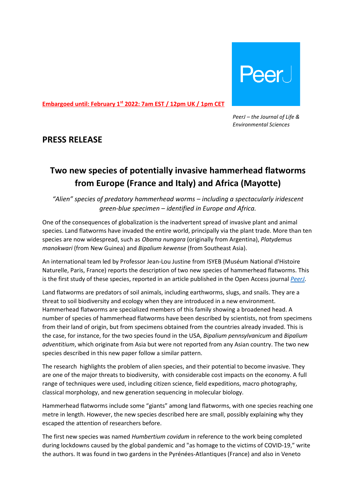

**Embargoed until: February 1st 2022: 7am EST / 12pm UK / 1pm CET** 

*PeerJ – the Journal of Life & Environmental Sciences*

### **PRESS RELEASE**

# **Two new species of potentially invasive hammerhead flatworms from Europe (France and Italy) and Africa (Mayotte)**

*"Alien" species of predatory hammerhead worms – including a spectacularly iridescent green-blue specimen – identified in Europe and Africa.*

One of the consequences of globalization is the inadvertent spread of invasive plant and animal species. Land flatworms have invaded the entire world, principally via the plant trade. More than ten species are now widespread, such as *Obama nungara* (originally from Argentina), *Platydemus manokwari* (from New Guinea) and *Bipalium kewense* (from Southeast Asia).

An international team led by Professor Jean-Lou Justine from ISYEB (Muséum National d'Histoire Naturelle, Paris, France) reports the description of two new species of hammerhead flatworms. This is the first study of these species, reported in an article published in the Open Access journal *[PeerJ](https://peerj.com/articles/12725/)*.

Land flatworms are predators of soil animals, including earthworms, slugs, and snails. They are a threat to soil biodiversity and ecology when they are introduced in a new environment. Hammerhead flatworms are specialized members of this family showing a broadened head. A number of species of hammerhead flatworms have been described by scientists, not from specimens from their land of origin, but from specimens obtained from the countries already invaded. This is the case, for instance, for the two species found in the USA, *Bipalium pennsylvanicum* and *Bipalium adventitium*, which originate from Asia but were not reported from any Asian country. The two new species described in this new paper follow a similar pattern.

The research highlights the problem of alien species, and their potential to become invasive. They are one of the major threats to biodiversity, with considerable cost impacts on the economy. A full range of techniques were used, including citizen science, field expeditions, macro photography, classical morphology, and new generation sequencing in molecular biology.

Hammerhead flatworms include some "giants" among land flatworms, with one species reaching one metre in length. However, the new species described here are small, possibly explaining why they escaped the attention of researchers before.

The first new species was named *Humbertium covidum* in reference to the work being completed during lockdowns caused by the global pandemic and "as homage to the victims of COVID-19," write the authors. It was found in two gardens in the Pyrénées-Atlantiques (France) and also in Veneto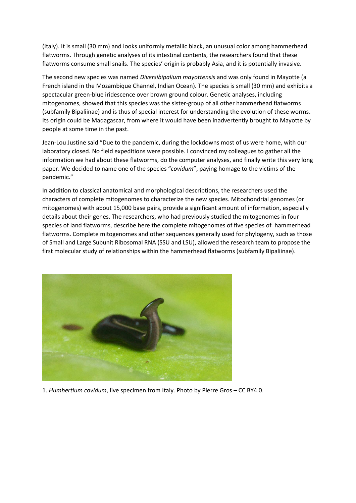(Italy). It is small (30 mm) and looks uniformly metallic black, an unusual color among hammerhead flatworms. Through genetic analyses of its intestinal contents, the researchers found that these flatworms consume small snails. The species' origin is probably Asia, and it is potentially invasive.

The second new species was named *Diversibipalium mayottensis* and was only found in Mayotte (a French island in the Mozambique Channel, Indian Ocean). The species is small (30 mm) and exhibits a spectacular green-blue iridescence over brown ground colour. Genetic analyses, including mitogenomes, showed that this species was the sister-group of all other hammerhead flatworms (subfamily Bipaliinae) and is thus of special interest for understanding the evolution of these worms. Its origin could be Madagascar, from where it would have been inadvertently brought to Mayotte by people at some time in the past.

Jean-Lou Justine said "Due to the pandemic, during the lockdowns most of us were home, with our laboratory closed. No field expeditions were possible. I convinced my colleagues to gather all the information we had about these flatworms, do the computer analyses, and finally write this very long paper. We decided to name one of the species "*covidum*", paying homage to the victims of the pandemic."

In addition to classical anatomical and morphological descriptions, the researchers used the characters of complete mitogenomes to characterize the new species. Mitochondrial genomes (or mitogenomes) with about 15,000 base pairs, provide a significant amount of information, especially details about their genes. The researchers, who had previously studied the mitogenomes in four species of land flatworms, describe here the complete mitogenomes of five species of hammerhead flatworms. Complete mitogenomes and other sequences generally used for phylogeny, such as those of Small and Large Subunit Ribosomal RNA (SSU and LSU), allowed the research team to propose the first molecular study of relationships within the hammerhead flatworms (subfamily Bipaliinae).



1. *Humbertium covidum*, live specimen from Italy. Photo by Pierre Gros – CC BY4.0.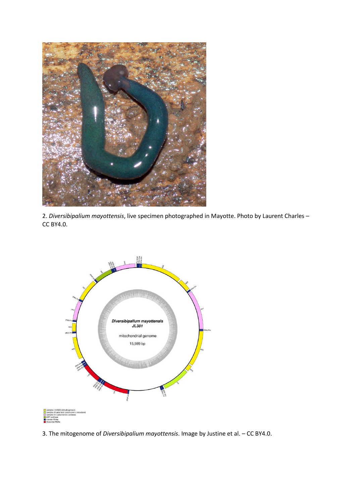





3. The mitogenome of *Diversibipalium mayottensis*. Image by Justine et al. – CC BY4.0.